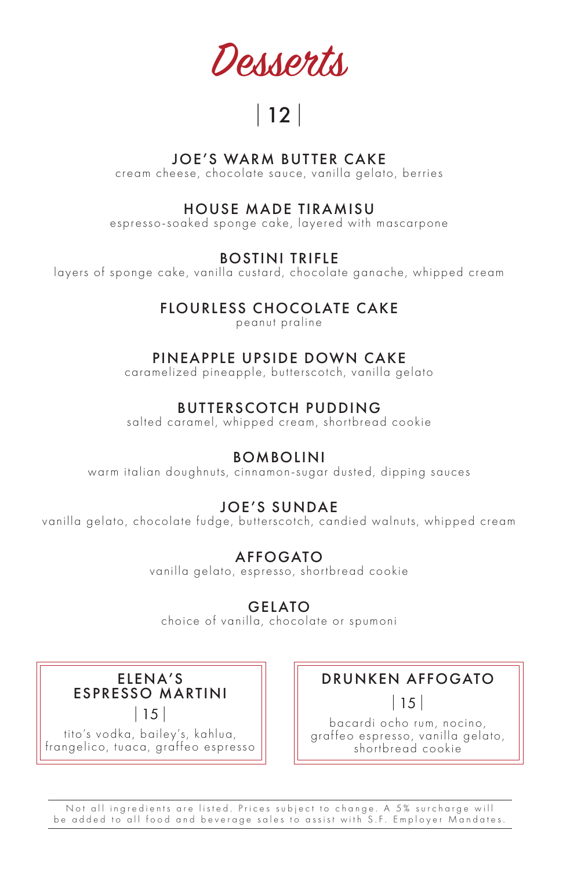Desserts

# |12|

#### JOE'S WARM BUTTER CAKE

cream cheese, chocolate sauce, vanilla gelato, berries

#### HOUSE MADE TIRAMISU

espresso-soaked sponge cake, layered with mascarpone

BOSTINI TRIFLE

layers of sponge cake, vanilla custard, chocolate ganache, whipped cream

## FLOURLESS CHOCOLATE CAKE

peanut praline

### PINEAPPLE UPSIDE DOWN CAKE

caramelized pineapple, butterscotch, vanilla gelato

## BUTTERSCOTCH PUDDING

salted caramel, whipped cream, shortbread cookie

#### BOMBOLINI

warm italian doughnuts, cinnamon-sugar dusted, dipping sauces

## JOE'S SUNDAE

vanilla gelato, chocolate fudge, butterscotch, candied walnuts, whipped cream

## AFFOGATO

vanilla gelato, espresso, shortbread cookie

## GELATO

choice of vanilla, chocolate or spumoni

ELENA'S ESPRESSO MARTINI |15|

tito's vodka, bailey's, kahlua, frangelico, tuaca, graffeo espresso

## DRUNKEN AFFOGATO

|15|

bacardi ocho rum, nocino, graffeo espresso, vanilla gelato, shortbread cookie

Not all ingredients are listed. Prices subject to change. A 5% surcharge will be added to all food and beverage sales to assist with S.F. Employer Mandates.